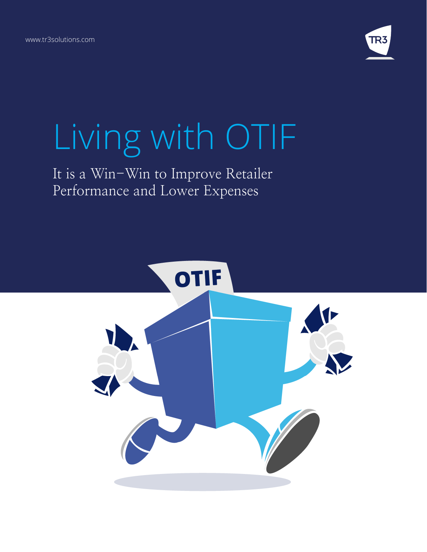

# Living with OTIF

# It is a Win-Win to Improve Retailer Performance and Lower Expenses

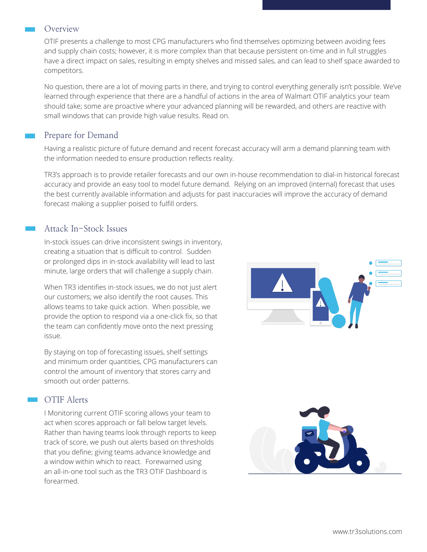#### Overview

OTIF presents a challenge to most CPG manufacturers who find themselves optimizing between avoiding fees and supply chain costs; however, it is more complex than that because persistent on-time and in full struggles have a direct impact on sales, resulting in empty shelves and missed sales, and can lead to shelf space awarded to competitors.

No question, there are a lot of moving parts in there, and trying to control everything generally isn't possible. We've learned through experience that there are a handful of actions in the area of Walmart OTIF analytics your team should take; some are proactive where your advanced planning will be rewarded, and others are reactive with small windows that can provide high value results. Read on.

## Prepare for Demand

Having a realistic picture of future demand and recent forecast accuracy will arm a demand planning team with the information needed to ensure production reflects reality.

TR3's approach is to provide retailer forecasts and our own in-house recommendation to dial-in historical forecast accuracy and provide an easy tool to model future demand. Relying on an improved (internal) forecast that uses the best currently available information and adjusts for past inaccuracies will improve the accuracy of demand forecast making a supplier poised to fulfill orders.

### Attack In-Stock Issues

In-stock issues can drive inconsistent swings in inventory, creating a situation that is difficult to control. Sudden or prolonged dips in in-stock availability will lead to last minute, large orders that will challenge a supply chain.

When TR3 identifies in-stock issues, we do not just alert our customers; we also identify the root causes. This allows teams to take quick action. When possible, we provide the option to respond via a one-click fix, so that the team can confidently move onto the next pressing issue.

By staying on top of forecasting issues, shelf settings and minimum order quantities, CPG manufacturers can control the amount of inventory that stores carry and smooth out order patterns.

#### **COTIF Alerts**

I Monitoring current OTIF scoring allows your team to act when scores approach or fall below target levels. Rather than having teams look through reports to keep track of score, we push out alerts based on thresholds that you define; giving teams advance knowledge and a window within which to react. Forewarned using an all-in-one tool such as the TR3 OTIF Dashboard is forearmed.